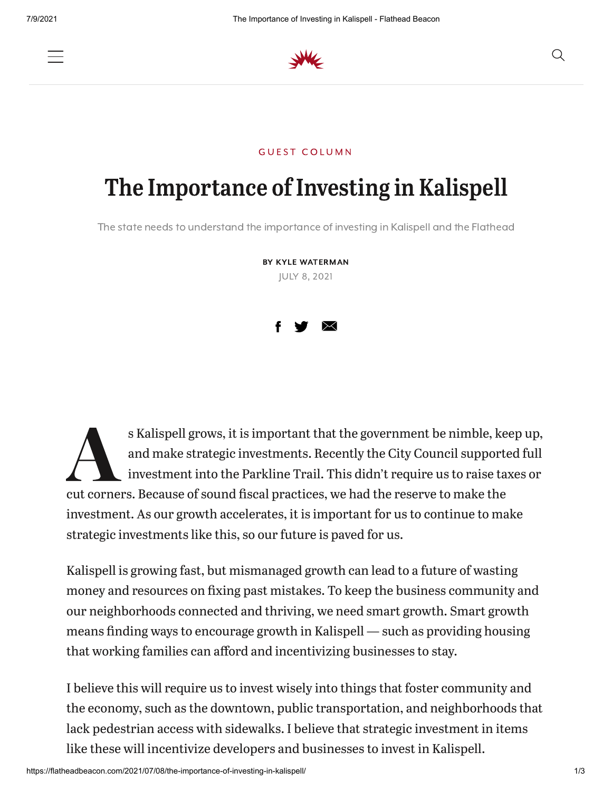

## The Importance of Investing in Kalispell

**GUEST COLUMN** 

The state needs to understand the importance of investing in Kalispell and the Flathead

BY KYLE WATERMAN JULY 8, 2021



s Kalispell grows, it is important that the government be nimble, ke<br>and make strategic investments. Recently the City Council support<br>investment into the Parkline Trail. This didn't require us to raise ta<br>cut corners. Bec s Kalispell grows, it is important that the government be nimble, keep up, and make strategic investments. Recently the City Council supported full investment into the Parkline Trail. This didn't require us to raise taxes or investment. As our growth accelerates, it is important for us to continue to make strategic investments like this, so our future is paved for us.

Kalispell is growing fast, but mismanaged growth can lead to a future of wasting money and resources on fixing past mistakes. To keep the business community and our neighborhoods connected and thriving, we need smart growth. Smart growth means finding ways to encourage growth in Kalispell — such as providing housing that working families can afford and incentivizing businesses to stay.

I believe this will require us to invest wisely into things that foster community and the economy, such as the downtown, public transportation, and neighborhoods that lack pedestrian access with sidewalks. I believe that strategic investment in items like these will incentivize developers and businesses to invest in Kalispell.

Q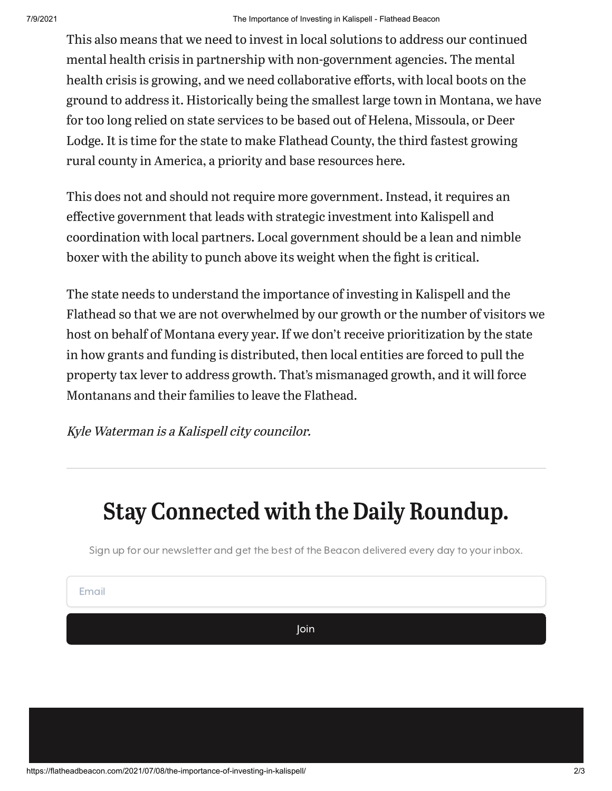This also means that we need to invest in local solutions to address our continued mental health crisis in partnership with non-government agencies. The mental health crisis is growing, and we need collaborative efforts, with local boots on the ground to address it. Historically being the smallest large town in Montana, we have for too long relied on state services to be based out of Helena, Missoula, or Deer Lodge. It is time for the state to make Flathead County, the third fastest growing rural county in America, a priority and base resources here.

This does not and should not require more government. Instead, it requires an effective government that leads with strategic investment into Kalispell and coordination with local partners. Local government should be a lean and nimble boxer with the ability to punch above its weight when the fight is critical.

The state needs to understand the importance of investing in Kalispell and the Flathead so that we are not overwhelmed by our growth or the number of visitors we host on behalf of Montana every year. If we don't receive prioritization by the state in how grants and funding is distributed, then local entities are forced to pull the property tax lever to address growth. That's mismanaged growth, and it will force Montanans and their families to leave the Flathead.

Kyle Waterman is <sup>a</sup> Kalispell city councilor.

## Stay Connected with the Daily Roundup.

Sign up for our newsletter and get the best of the Beacon delivered every day to your inbox.

Email

Join